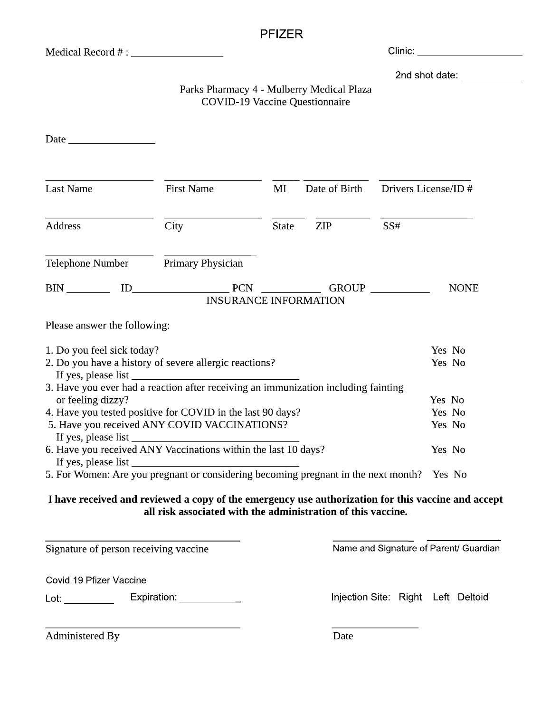# **PFIZER**

# Parks Pharmacy 4 - Mulberry Medical Plaza **COVID-19 Vaccine Questionnaire**

| <b>Last Name</b>                                                                     | <b>First Name</b>                                                                  | MI           | Date of Birth | Drivers License/ID # |                  |  |
|--------------------------------------------------------------------------------------|------------------------------------------------------------------------------------|--------------|---------------|----------------------|------------------|--|
| <b>Address</b>                                                                       | City                                                                               | <b>State</b> | ZIP           | SS#                  |                  |  |
| Telephone Number                                                                     | Primary Physician                                                                  |              |               |                      |                  |  |
| <b>BIN</b>                                                                           | $ID$ $PCN$<br><b>INSURANCE INFORMATION</b>                                         |              | <b>GROUP</b>  |                      | <b>NONE</b>      |  |
| Please answer the following:                                                         |                                                                                    |              |               |                      |                  |  |
| 1. Do you feel sick today?<br>2. Do you have a history of severe allergic reactions? |                                                                                    |              |               |                      | Yes No<br>Yes No |  |
|                                                                                      | 3. Have you ever had a reaction after receiving an immunization including fainting |              |               |                      | Yes No           |  |
| or feeling dizzy?<br>4. Have you tested positive for COVID in the last 90 days?      |                                                                                    |              |               |                      |                  |  |
| 5. Have you received ANY COVID VACCINATIONS?<br>If yes, please list                  |                                                                                    |              |               |                      | Yes No<br>Yes No |  |
| 6. Have you received ANY Vaccinations within the last 10 days?                       |                                                                                    |              |               |                      | Yes No           |  |
|                                                                                      |                                                                                    |              |               |                      |                  |  |
| 5. For Women: Are you pregnant or considering becoming pregnant in the next month?   |                                                                                    |              |               | Yes No               |                  |  |

### I have received and reviewed a copy of the emergency use authorization for this vaccine and accept all risk associated with the administration of this vaccine.

Signature of person receiving vaccine

Name and Signature of Parent/ Guardian

Covid 19 Pfizer Vaccine

Expiration: \_\_\_\_\_\_\_\_\_\_\_\_ 

Injection Site: Right Left Deltoid

Administered By

Date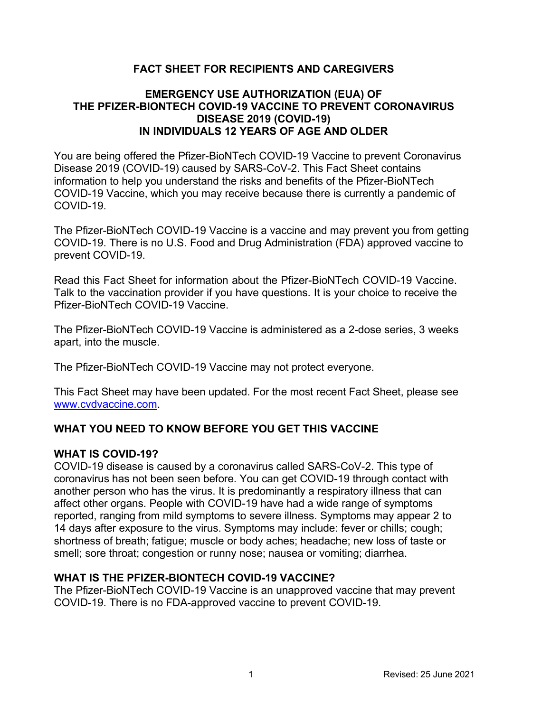# **FACT SHEET FOR RECIPIENTS AND CAREGIVERS**

### **EMERGENCY USE AUTHORIZATION (EUA) OF THE PFIZER-BIONTECH COVID-19 VACCINE TO PREVENT CORONAVIRUS DISEASE 2019 (COVID-19) IN INDIVIDUALS 12 YEARS OF AGE AND OLDER**

You are being offered the Pfizer-BioNTech COVID-19 Vaccine to prevent Coronavirus Disease 2019 (COVID-19) caused by SARS-CoV-2. This Fact Sheet contains information to help you understand the risks and benefits of the Pfizer-BioNTech COVID-19 Vaccine, which you may receive because there is currently a pandemic of COVID-19.

The Pfizer-BioNTech COVID-19 Vaccine is a vaccine and may prevent you from getting COVID-19. There is no U.S. Food and Drug Administration (FDA) approved vaccine to prevent COVID-19.

Read this Fact Sheet for information about the Pfizer-BioNTech COVID-19 Vaccine. Talk to the vaccination provider if you have questions. It is your choice to receive the Pfizer-BioNTech COVID-19 Vaccine.

The Pfizer-BioNTech COVID-19 Vaccine is administered as a 2-dose series, 3 weeks apart, into the muscle.

The Pfizer-BioNTech COVID-19 Vaccine may not protect everyone.

This Fact Sheet may have been updated. For the most recent Fact Sheet, please see www.cvdvaccine.com.

# **WHAT YOU NEED TO KNOW BEFORE YOU GET THIS VACCINE**

#### **WHAT IS COVID-19?**

COVID-19 disease is caused by a coronavirus called SARS-CoV-2. This type of coronavirus has not been seen before. You can get COVID-19 through contact with another person who has the virus. It is predominantly a respiratory illness that can affect other organs. People with COVID-19 have had a wide range of symptoms reported, ranging from mild symptoms to severe illness. Symptoms may appear 2 to 14 days after exposure to the virus. Symptoms may include: fever or chills; cough; shortness of breath; fatigue; muscle or body aches; headache; new loss of taste or smell; sore throat; congestion or runny nose; nausea or vomiting; diarrhea.

#### **WHAT IS THE PFIZER-BIONTECH COVID-19 VACCINE?**

The Pfizer-BioNTech COVID-19 Vaccine is an unapproved vaccine that may prevent COVID-19. There is no FDA-approved vaccine to prevent COVID-19.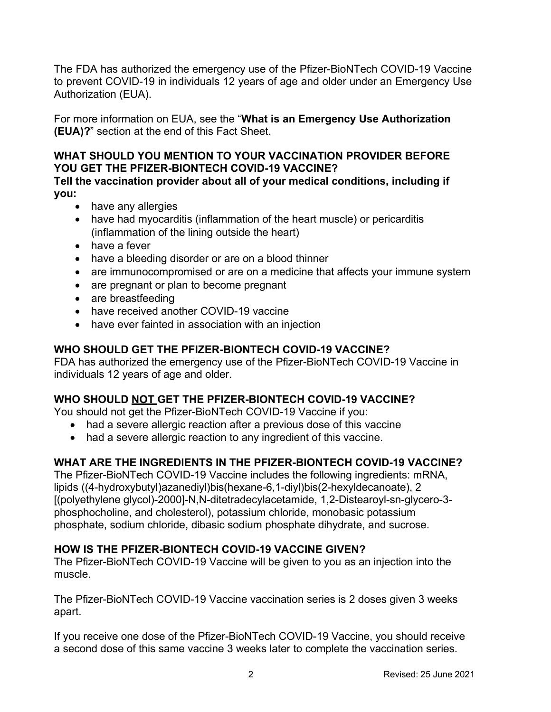The FDA has authorized the emergency use of the Pfizer-BioNTech COVID-19 Vaccine to prevent COVID-19 in individuals 12 years of age and older under an Emergency Use Authorization (EUA).

For more information on EUA, see the "**What is an Emergency Use Authorization (EUA)?**" section at the end of this Fact Sheet.

### **WHAT SHOULD YOU MENTION TO YOUR VACCINATION PROVIDER BEFORE YOU GET THE PFIZER-BIONTECH COVID-19 VACCINE?**

**Tell the vaccination provider about all of your medical conditions, including if you:**

- have any allergies
- have had myocarditis (inflammation of the heart muscle) or pericarditis (inflammation of the lining outside the heart)
- have a fever
- have a bleeding disorder or are on a blood thinner
- are immunocompromised or are on a medicine that affects your immune system
- are pregnant or plan to become pregnant
- are breastfeeding
- have received another COVID-19 vaccine
- have ever fainted in association with an injection

# **WHO SHOULD GET THE PFIZER-BIONTECH COVID-19 VACCINE?**

FDA has authorized the emergency use of the Pfizer-BioNTech COVID-19 Vaccine in individuals 12 years of age and older.

# **WHO SHOULD NOT GET THE PFIZER-BIONTECH COVID-19 VACCINE?**

You should not get the Pfizer-BioNTech COVID-19 Vaccine if you:

- had a severe allergic reaction after a previous dose of this vaccine
- had a severe allergic reaction to any ingredient of this vaccine.

# **WHAT ARE THE INGREDIENTS IN THE PFIZER-BIONTECH COVID-19 VACCINE?**

The Pfizer-BioNTech COVID-19 Vaccine includes the following ingredients: mRNA, lipids ((4-hydroxybutyl)azanediyl)bis(hexane-6,1-diyl)bis(2-hexyldecanoate), 2 [(polyethylene glycol)-2000]-N,N-ditetradecylacetamide, 1,2-Distearoyl-sn-glycero-3 phosphocholine, and cholesterol), potassium chloride, monobasic potassium phosphate, sodium chloride, dibasic sodium phosphate dihydrate, and sucrose.

#### **HOW IS THE PFIZER-BIONTECH COVID-19 VACCINE GIVEN?**

The Pfizer-BioNTech COVID-19 Vaccine will be given to you as an injection into the muscle.

The Pfizer-BioNTech COVID-19 Vaccine vaccination series is 2 doses given 3 weeks apart.

If you receive one dose of the Pfizer-BioNTech COVID-19 Vaccine, you should receive a second dose of this same vaccine 3 weeks later to complete the vaccination series.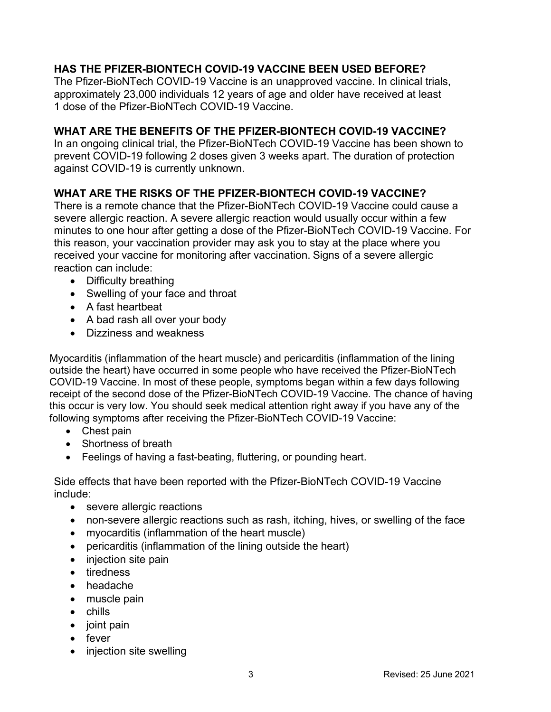# **HAS THE PFIZER-BIONTECH COVID-19 VACCINE BEEN USED BEFORE?**

The Pfizer-BioNTech COVID-19 Vaccine is an unapproved vaccine. In clinical trials, approximately 23,000 individuals 12 years of age and older have received at least 1 dose of the Pfizer-BioNTech COVID-19 Vaccine.

### **WHAT ARE THE BENEFITS OF THE PFIZER-BIONTECH COVID-19 VACCINE?**

In an ongoing clinical trial, the Pfizer-BioNTech COVID-19 Vaccine has been shown to prevent COVID-19 following 2 doses given 3 weeks apart. The duration of protection against COVID-19 is currently unknown.

#### **WHAT ARE THE RISKS OF THE PFIZER-BIONTECH COVID-19 VACCINE?**

There is a remote chance that the Pfizer-BioNTech COVID-19 Vaccine could cause a severe allergic reaction. A severe allergic reaction would usually occur within a few minutes to one hour after getting a dose of the Pfizer-BioNTech COVID-19 Vaccine. For this reason, your vaccination provider may ask you to stay at the place where you received your vaccine for monitoring after vaccination. Signs of a severe allergic reaction can include:

- Difficulty breathing
- Swelling of your face and throat
- A fast heartbeat
- A bad rash all over your body
- Dizziness and weakness

Myocarditis (inflammation of the heart muscle) and pericarditis (inflammation of the lining outside the heart) have occurred in some people who have received the Pfizer-BioNTech COVID-19 Vaccine. In most of these people, symptoms began within a few days following receipt of the second dose of the Pfizer-BioNTech COVID-19 Vaccine. The chance of having this occur is very low. You should seek medical attention right away if you have any of the following symptoms after receiving the Pfizer-BioNTech COVID-19 Vaccine:

- Chest pain
- Shortness of breath
- Feelings of having a fast-beating, fluttering, or pounding heart.

Side effects that have been reported with the Pfizer-BioNTech COVID-19 Vaccine include:

- severe allergic reactions
- non-severe allergic reactions such as rash, itching, hives, or swelling of the face
- myocarditis (inflammation of the heart muscle)
- pericarditis (inflammation of the lining outside the heart)
- injection site pain
- tiredness
- headache
- muscle pain
- chills
- joint pain
- fever
- injection site swelling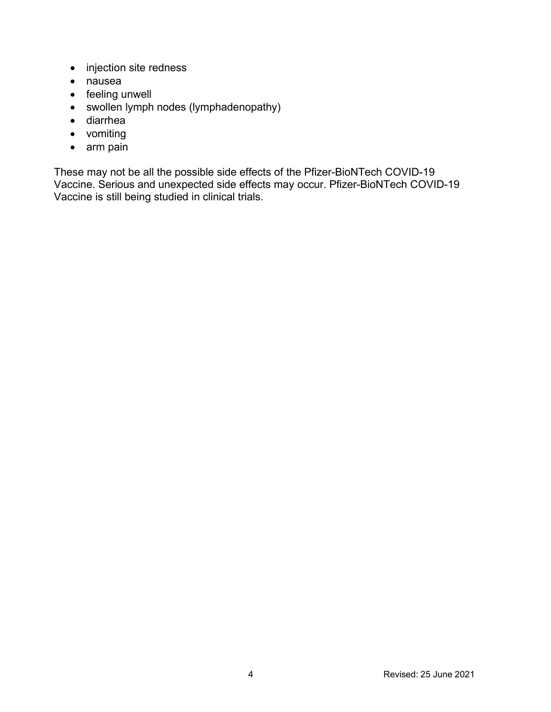- injection site redness
- nausea
- feeling unwell
- swollen lymph nodes (lymphadenopathy)
- diarrhea
- vomiting
- arm pain

These may not be all the possible side effects of the Pfizer-BioNTech COVID-19 Vaccine. Serious and unexpected side effects may occur. Pfizer-BioNTech COVID-19 Vaccine is still being studied in clinical trials.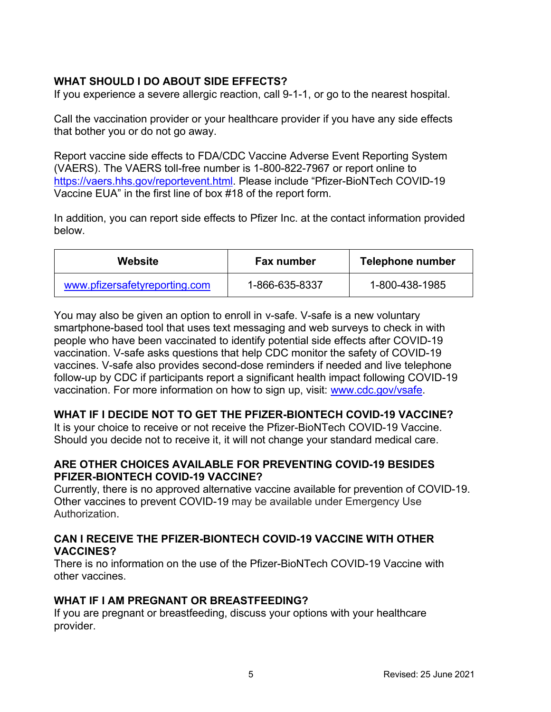### **WHAT SHOULD I DO ABOUT SIDE EFFECTS?**

If you experience a severe allergic reaction, call 9-1-1, or go to the nearest hospital.

Call the vaccination provider or your healthcare provider if you have any side effects that bother you or do not go away.

Report vaccine side effects to FDA/CDC Vaccine Adverse Event Reporting System (VAERS). The VAERS toll-free number is 1-800-822-7967 or report online to https://vaers.hhs.gov/reportevent.html. Please include "Pfizer-BioNTech COVID-19 Vaccine EUA" in the first line of box #18 of the report form.

In addition, you can report side effects to Pfizer Inc. at the contact information provided below.

| Website                       | <b>Fax number</b> | Telephone number |
|-------------------------------|-------------------|------------------|
| www.pfizersafetyreporting.com | 1-866-635-8337    | 1-800-438-1985   |

You may also be given an option to enroll in v-safe. V-safe is a new voluntary smartphone-based tool that uses text messaging and web surveys to check in with people who have been vaccinated to identify potential side effects after COVID-19 vaccination. V-safe asks questions that help CDC monitor the safety of COVID-19 vaccines. V-safe also provides second-dose reminders if needed and live telephone follow-up by CDC if participants report a significant health impact following COVID-19 vaccination. For more information on how to sign up, visit: www.cdc.gov/vsafe.

#### **WHAT IF I DECIDE NOT TO GET THE PFIZER-BIONTECH COVID-19 VACCINE?**

It is your choice to receive or not receive the Pfizer-BioNTech COVID-19 Vaccine. Should you decide not to receive it, it will not change your standard medical care.

#### **ARE OTHER CHOICES AVAILABLE FOR PREVENTING COVID-19 BESIDES PFIZER-BIONTECH COVID-19 VACCINE?**

Currently, there is no approved alternative vaccine available for prevention of COVID-19. Other vaccines to prevent COVID-19 may be available under Emergency Use Authorization.

#### **CAN I RECEIVE THE PFIZER-BIONTECH COVID-19 VACCINE WITH OTHER VACCINES?**

There is no information on the use of the Pfizer-BioNTech COVID-19 Vaccine with other vaccines.

#### **WHAT IF I AM PREGNANT OR BREASTFEEDING?**

If you are pregnant or breastfeeding, discuss your options with your healthcare provider.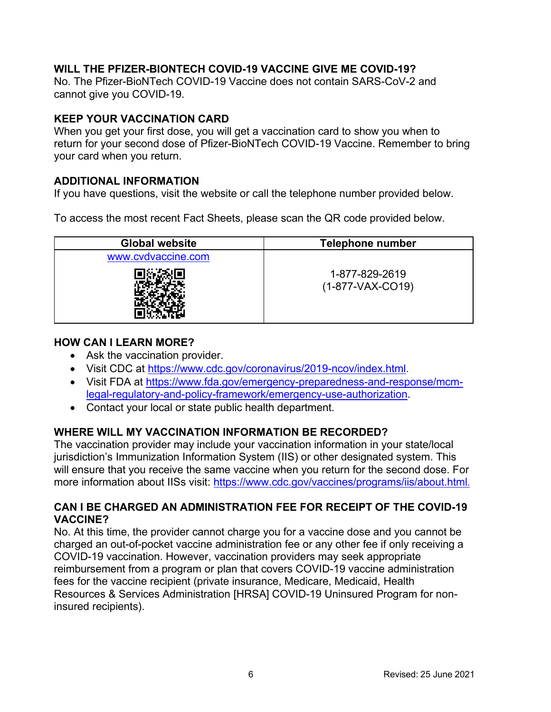# **WILL THE PFIZER-BIONTECH COVID-19 VACCINE GIVE ME COVID-19?**

No. The Pfizer-BioNTech COVID-19 Vaccine does not contain SARS-CoV-2 and cannot give you COVID-19.

### **KEEP YOUR VACCINATION CARD**

When you get your first dose, you will get a vaccination card to show you when to return for your second dose of Pfizer-BioNTech COVID-19 Vaccine. Remember to bring your card when you return.

### **ADDITIONAL INFORMATION**

If you have questions, visit the website or call the telephone number provided below.

To access the most recent Fact Sheets, please scan the QR code provided below.

| <b>Global website</b> | <b>Telephone number</b>              |
|-----------------------|--------------------------------------|
| www.cvdvaccine.com    |                                      |
|                       | 1-877-829-2619<br>$(1-877-VAX-CO19)$ |

### **HOW CAN I LEARN MORE?**

- Ask the vaccination provider.
- Visit CDC at https://www.cdc.gov/coronavirus/2019-ncov/index.html.
- Visit FDA at https://www.fda.gov/emergency-preparedness-and-response/mcmlegal-regulatory-and-policy-framework/emergency-use-authorization.
- Contact your local or state public health department.

# **WHERE WILL MY VACCINATION INFORMATION BE RECORDED?**

The vaccination provider may include your vaccination information in your state/local jurisdiction's Immunization Information System (IIS) or other designated system. This will ensure that you receive the same vaccine when you return for the second dose. For more information about IISs visit: https://www.cdc.gov/vaccines/programs/iis/about.html.

#### **CAN I BE CHARGED AN ADMINISTRATION FEE FOR RECEIPT OF THE COVID-19 VACCINE?**

No. At this time, the provider cannot charge you for a vaccine dose and you cannot be charged an out-of-pocket vaccine administration fee or any other fee if only receiving a COVID-19 vaccination. However, vaccination providers may seek appropriate reimbursement from a program or plan that covers COVID-19 vaccine administration fees for the vaccine recipient (private insurance, Medicare, Medicaid, Health Resources & Services Administration [HRSA] COVID-19 Uninsured Program for noninsured recipients).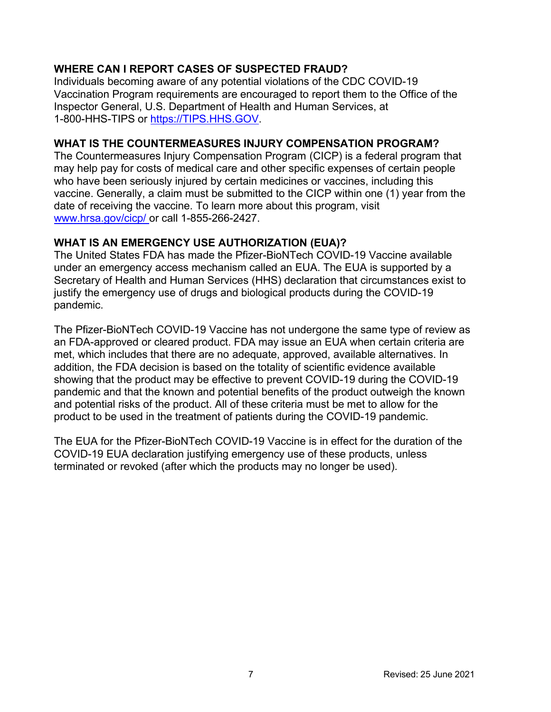# **WHERE CAN I REPORT CASES OF SUSPECTED FRAUD?**

Individuals becoming aware of any potential violations of the CDC COVID-19 Vaccination Program requirements are encouraged to report them to the Office of the Inspector General, U.S. Department of Health and Human Services, at 1-800-HHS-TIPS or https://TIPS.HHS.GOV.

### **WHAT IS THE COUNTERMEASURES INJURY COMPENSATION PROGRAM?**

The Countermeasures Injury Compensation Program (CICP) is a federal program that may help pay for costs of medical care and other specific expenses of certain people who have been seriously injured by certain medicines or vaccines, including this vaccine. Generally, a claim must be submitted to the CICP within one (1) year from the date of receiving the vaccine. To learn more about this program, visit www.hrsa.gov/cicp/ or call 1-855-266-2427.

### **WHAT IS AN EMERGENCY USE AUTHORIZATION (EUA)?**

The United States FDA has made the Pfizer-BioNTech COVID-19 Vaccine available under an emergency access mechanism called an EUA. The EUA is supported by a Secretary of Health and Human Services (HHS) declaration that circumstances exist to justify the emergency use of drugs and biological products during the COVID-19 pandemic.

The Pfizer-BioNTech COVID-19 Vaccine has not undergone the same type of review as an FDA-approved or cleared product. FDA may issue an EUA when certain criteria are met, which includes that there are no adequate, approved, available alternatives. In addition, the FDA decision is based on the totality of scientific evidence available showing that the product may be effective to prevent COVID-19 during the COVID-19 pandemic and that the known and potential benefits of the product outweigh the known and potential risks of the product. All of these criteria must be met to allow for the product to be used in the treatment of patients during the COVID-19 pandemic.

The EUA for the Pfizer-BioNTech COVID-19 Vaccine is in effect for the duration of the COVID-19 EUA declaration justifying emergency use of these products, unless terminated or revoked (after which the products may no longer be used).